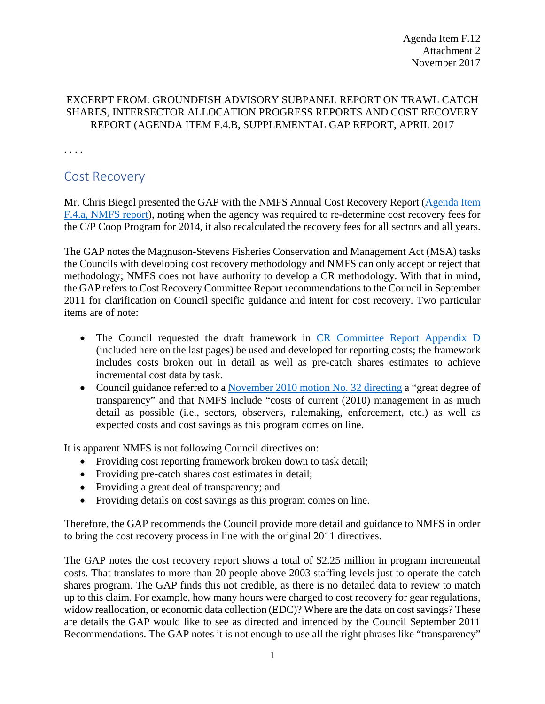## EXCERPT FROM: GROUNDFISH ADVISORY SUBPANEL REPORT ON TRAWL CATCH SHARES, INTERSECTOR ALLOCATION PROGRESS REPORTS AND COST RECOVERY REPORT (AGENDA ITEM F.4.B, SUPPLEMENTAL GAP REPORT, APRIL 2017

. . . .

## Cost Recovery

Mr. Chris Biegel presented the GAP with the NMFS Annual Cost Recovery Report [\(Agenda Item](http://www.pcouncil.org/wp-content/uploads/2017/03/F4a_NMFS_Rpt_2016-2017_CR_annual_rpt_final_Apr2017BB.pdf)  [F.4.a, NMFS report\)](http://www.pcouncil.org/wp-content/uploads/2017/03/F4a_NMFS_Rpt_2016-2017_CR_annual_rpt_final_Apr2017BB.pdf), noting when the agency was required to re-determine cost recovery fees for the C/P Coop Program for 2014, it also recalculated the recovery fees for all sectors and all years.

The GAP notes the Magnuson-Stevens Fisheries Conservation and Management Act (MSA) tasks the Councils with developing cost recovery methodology and NMFS can only accept or reject that methodology; NMFS does not have authority to develop a CR methodology. With that in mind, the GAP refers to Cost Recovery Committee Report recommendations to the Council in September 2011 for clarification on Council specific guidance and intent for cost recovery. Two particular items are of note:

- The Council requested the draft framework in [CR Committee Report Appendix D](http://www.pcouncil.org/wp-content/uploads/G6b_CRC_SEPT2011BB.pdf) (included here on the last pages) be used and developed for reporting costs; the framework includes costs broken out in detail as well as pre-catch shares estimates to achieve incremental cost data by task.
- Council guidance referred to a [November 2010 motion No. 32 directing](http://www.pcouncil.org/wp-content/uploads/Final_November_2010_Voting_Log.pdf) a "great degree of transparency" and that NMFS include "costs of current (2010) management in as much detail as possible (i.e., sectors, observers, rulemaking, enforcement, etc.) as well as expected costs and cost savings as this program comes on line.

It is apparent NMFS is not following Council directives on:

- Providing cost reporting framework broken down to task detail;
- Providing pre-catch shares cost estimates in detail;
- Providing a great deal of transparency; and
- Providing details on cost savings as this program comes on line.

Therefore, the GAP recommends the Council provide more detail and guidance to NMFS in order to bring the cost recovery process in line with the original 2011 directives.

The GAP notes the cost recovery report shows a total of \$2.25 million in program incremental costs. That translates to more than 20 people above 2003 staffing levels just to operate the catch shares program. The GAP finds this not credible, as there is no detailed data to review to match up to this claim. For example, how many hours were charged to cost recovery for gear regulations, widow reallocation, or economic data collection (EDC)? Where are the data on cost savings? These are details the GAP would like to see as directed and intended by the Council September 2011 Recommendations. The GAP notes it is not enough to use all the right phrases like "transparency"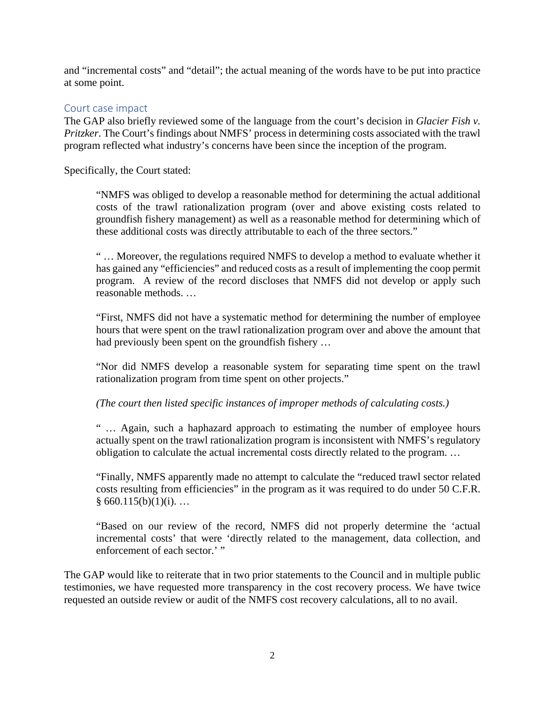and "incremental costs" and "detail"; the actual meaning of the words have to be put into practice at some point.

## Court case impact

The GAP also briefly reviewed some of the language from the court's decision in *Glacier Fish v. Pritzker*. The Court's findings about NMFS' process in determining costs associated with the trawl program reflected what industry's concerns have been since the inception of the program.

Specifically, the Court stated:

"NMFS was obliged to develop a reasonable method for determining the actual additional costs of the trawl rationalization program (over and above existing costs related to groundfish fishery management) as well as a reasonable method for determining which of these additional costs was directly attributable to each of the three sectors."

" … Moreover, the regulations required NMFS to develop a method to evaluate whether it has gained any "efficiencies" and reduced costs as a result of implementing the coop permit program. A review of the record discloses that NMFS did not develop or apply such reasonable methods. …

"First, NMFS did not have a systematic method for determining the number of employee hours that were spent on the trawl rationalization program over and above the amount that had previously been spent on the groundfish fishery …

"Nor did NMFS develop a reasonable system for separating time spent on the trawl rationalization program from time spent on other projects."

*(The court then listed specific instances of improper methods of calculating costs.)*

" … Again, such a haphazard approach to estimating the number of employee hours actually spent on the trawl rationalization program is inconsistent with NMFS's regulatory obligation to calculate the actual incremental costs directly related to the program. …

"Finally, NMFS apparently made no attempt to calculate the "reduced trawl sector related costs resulting from efficiencies" in the program as it was required to do under 50 C.F.R.  $§ 660.115(b)(1)(i)$ ...

"Based on our review of the record, NMFS did not properly determine the 'actual incremental costs' that were 'directly related to the management, data collection, and enforcement of each sector.' "

The GAP would like to reiterate that in two prior statements to the Council and in multiple public testimonies, we have requested more transparency in the cost recovery process. We have twice requested an outside review or audit of the NMFS cost recovery calculations, all to no avail.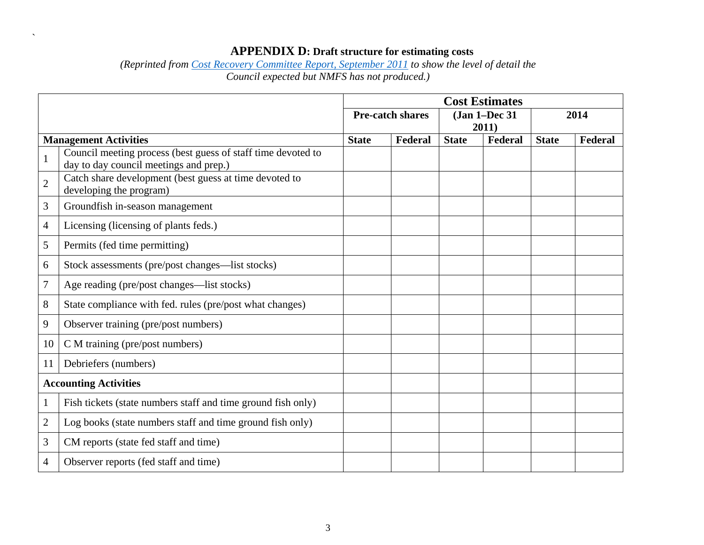## **APPENDIX D: Draft structure for estimating costs**

*(Reprinted from [Cost Recovery Committee Report, September 2011](http://www.pcouncil.org/wp-content/uploads/G6b_CRC_SEPT2011BB.pdf) to show the level of detail the Council expected but NMFS has not produced.)*

 $\ddot{\phantom{0}}$ 

|                              |                                                                                                        | <b>Cost Estimates</b> |         |               |         |              |         |  |
|------------------------------|--------------------------------------------------------------------------------------------------------|-----------------------|---------|---------------|---------|--------------|---------|--|
|                              | <b>Pre-catch shares</b>                                                                                |                       |         | (Jan 1-Dec 31 |         | 2014         |         |  |
|                              |                                                                                                        |                       |         | 2011)         |         |              |         |  |
| <b>Management Activities</b> |                                                                                                        | <b>State</b>          | Federal | <b>State</b>  | Federal | <b>State</b> | Federal |  |
| $\mathbf{1}$                 | Council meeting process (best guess of staff time devoted to<br>day to day council meetings and prep.) |                       |         |               |         |              |         |  |
| $\overline{2}$               | Catch share development (best guess at time devoted to<br>developing the program)                      |                       |         |               |         |              |         |  |
| 3                            | Groundfish in-season management                                                                        |                       |         |               |         |              |         |  |
| 4                            | Licensing (licensing of plants feds.)                                                                  |                       |         |               |         |              |         |  |
| 5                            | Permits (fed time permitting)                                                                          |                       |         |               |         |              |         |  |
| 6                            | Stock assessments (pre/post changes—list stocks)                                                       |                       |         |               |         |              |         |  |
| 7                            | Age reading (pre/post changes—list stocks)                                                             |                       |         |               |         |              |         |  |
| 8                            | State compliance with fed. rules (pre/post what changes)                                               |                       |         |               |         |              |         |  |
| 9                            | Observer training (pre/post numbers)                                                                   |                       |         |               |         |              |         |  |
| 10                           | C M training (pre/post numbers)                                                                        |                       |         |               |         |              |         |  |
| 11                           | Debriefers (numbers)                                                                                   |                       |         |               |         |              |         |  |
| <b>Accounting Activities</b> |                                                                                                        |                       |         |               |         |              |         |  |
| 1                            | Fish tickets (state numbers staff and time ground fish only)                                           |                       |         |               |         |              |         |  |
| $\overline{c}$               | Log books (state numbers staff and time ground fish only)                                              |                       |         |               |         |              |         |  |
| 3                            | CM reports (state fed staff and time)                                                                  |                       |         |               |         |              |         |  |
| 4                            | Observer reports (fed staff and time)                                                                  |                       |         |               |         |              |         |  |